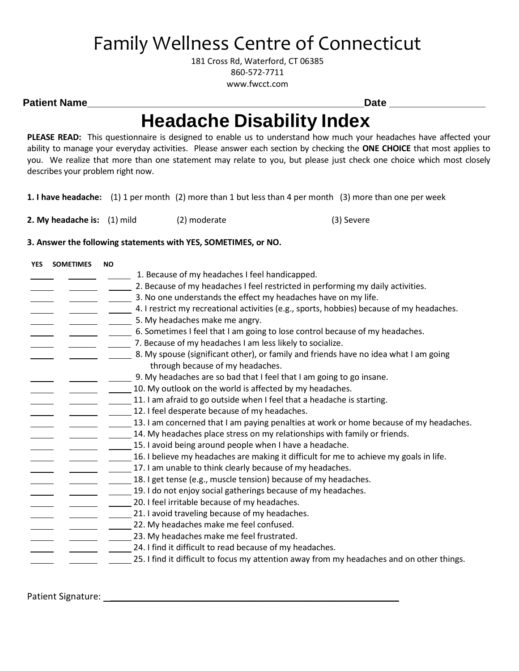## Family Wellness Centre of Connecticut

181 Cross Rd, Waterford, CT 06385 860-572-7711 www.fwcct.com

Patient Name **Date 2008** 

# **Headache Disability Index**

**PLEASE READ:** This questionnaire is designed to enable us to understand how much your headaches have affected your ability to manage your everyday activities. Please answer each section by checking the **ONE CHOICE** that most applies to you. We realize that more than one statement may relate to you, but please just check one choice which most closely describes your problem right now.

**1. I have headache:** (1) 1 per month (2) more than 1 but less than 4 per month (3) more than one per week

**2. My headache is:** (1) mild (2) moderate (3) Severe

#### **3. Answer the following statements with YES, SOMETIMES, or NO.**

| <b>YES</b> | <b>SOMETIMES</b> | <b>NO</b>                                                                                 |
|------------|------------------|-------------------------------------------------------------------------------------------|
|            |                  | 1. Because of my headaches I feel handicapped.                                            |
|            |                  | 2. Because of my headaches I feel restricted in performing my daily activities.           |
|            |                  | 3. No one understands the effect my headaches have on my life.                            |
|            |                  | 4. I restrict my recreational activities (e.g., sports, hobbies) because of my headaches. |
|            |                  | 5. My headaches make me angry.                                                            |
|            |                  | 6. Sometimes I feel that I am going to lose control because of my headaches.              |
|            |                  | 7. Because of my headaches I am less likely to socialize.                                 |
|            |                  | 8. My spouse (significant other), or family and friends have no idea what I am going      |
|            |                  | through because of my headaches.                                                          |
|            |                  | 9. My headaches are so bad that I feel that I am going to go insane.                      |
|            |                  | 10. My outlook on the world is affected by my headaches.                                  |
|            |                  | 11. I am afraid to go outside when I feel that a headache is starting.                    |
|            |                  | 12. I feel desperate because of my headaches.                                             |
|            |                  | 13. I am concerned that I am paying penalties at work or home because of my headaches.    |
|            |                  | 14. My headaches place stress on my relationships with family or friends.                 |
|            |                  | 15. I avoid being around people when I have a headache.                                   |
|            |                  | 16. I believe my headaches are making it difficult for me to achieve my goals in life.    |
|            |                  | 17. I am unable to think clearly because of my headaches.                                 |
|            |                  | 18. I get tense (e.g., muscle tension) because of my headaches.                           |
|            |                  | 19. I do not enjoy social gatherings because of my headaches.                             |
|            |                  | 20. I feel irritable because of my headaches.                                             |
|            |                  | 21. I avoid traveling because of my headaches.                                            |
|            |                  | 22. My headaches make me feel confused.                                                   |
|            |                  | 23. My headaches make me feel frustrated.                                                 |
|            |                  | 24. I find it difficult to read because of my headaches.                                  |
|            |                  | 25. I find it difficult to focus my attention away from my headaches and on other things. |

Patient Signature: \_\_\_\_\_\_\_\_\_\_\_\_\_\_\_\_\_\_\_\_\_\_\_\_\_\_\_\_\_\_\_\_\_\_\_\_\_\_\_\_\_\_\_\_\_\_\_\_\_\_\_\_\_\_\_\_\_